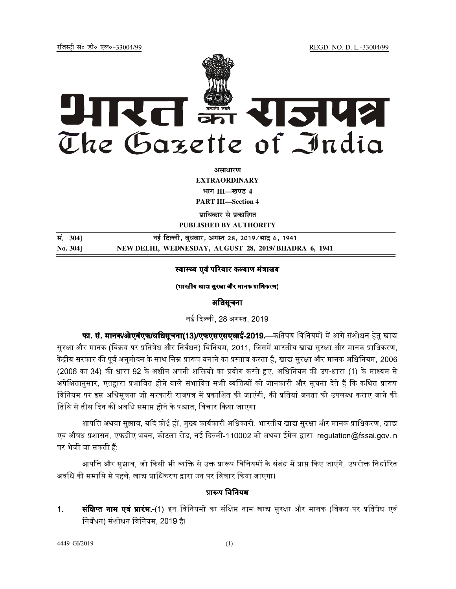jftLVªh laö Mhö ,yö&33004@99 REGD. NO. D. L.-33004/99



**vlk/kj.k EXTRAORDINARY**  $4$ **HIT III—**<br>**limits** 

**PART III—Section 4** 

**पाधिकार से पका**शित **PUBLISHED BY AUTHORITY**

<u>Randal Baratis and The Figrear and The Figrear 28, 2019/भाद 6, 1941</u> **No. 304] NEW DELHI, WEDNESDAY, AUGUST 28, 2019/ BHADRA 6, 1941**

## स्वास्थ्य एवं परिवार कल्याण मंत्रालय

### (भारतीय खाद्य सरक्षा और मानक प्राधिकरण)

### अधिसूचना

नई दिल्ली. 28 अगस्त. 2019

फा. सं. मानक/ओएवंएफ/अधिसूचना(13)/एफएसएसएआई-2019.—कतिपय विनियमों में आगे संशोधन हेतु खाद्य सुरक्षा और मानक (विक्रय पर प्रतिषेध और निर्बंधन) विनियम, 2011, जिसमें भारतीय खाद्य सुरक्षा और मानक प्राधिकरण, केंद्रीय सरकार की पूर्व अनुमोदन के साथ निम्न प्रारूप बनाने का प्रस्ताव करता है, खाद्य सुरक्षा और मानक अधिनियम, 2006 (2006 का 34) की धारा 92 के अधीन अपनी शक्तियों का प्रयोग करते हुए. अधिनियम की उप-धारा (1) के माध्यम से अपेक्षितानुसार, एतद्वारा प्रभावित होने वाले संभावित सभी व्यक्तियों को जानकारी और सूचना देते हैं कि कथित प्रारूप विनियम पर इस अधिसूचना जो सरकारी राजपत्र में प्रकाशित की जाएंगी, की प्रतियां जनता को उपलब्ध कराए जाने की तिथि से तीस दिन की अवधि समाप्त होने के पश्चात, विचार किया जाएगा।

आपत्ति अथवा सुझाव, यदि कोई हों, मुख्य कार्यकारी अधिकारी, भारतीय खाद्य सुरक्षा और मानक प्राधिकरण, खाद्य एवं औषध प्रशासन, एफडीए भवन, कोटला रोड, नई दिल्ली-110002 को अथवा ईमेल द्वारा $\;$  regulation@fssai.gov.in पर भेजी जा सकती हैं:

आपत्ति और सुझाव, जो किसी भी व्यक्ति से उक्त प्रारूप विनियमों के संबंध में प्राप्त किए जाएंगे, उपरोक्त निर्धारित अवधि की समाप्ति से पहले, खाद्य प्राधिकरण द्वारा उन पर विचार किया जाएगा।

# प्रारूप विनियम

**1. संक्षिप्त नाम एवं प्रारंभ.-**(1) इन विनियमों का संक्षिप्त नाम खाद्य सरक्षा और मानक *(*विक्रय पर प्रतिषेध एवं निर्बंधन) संशोधन विनियम, 2019 है।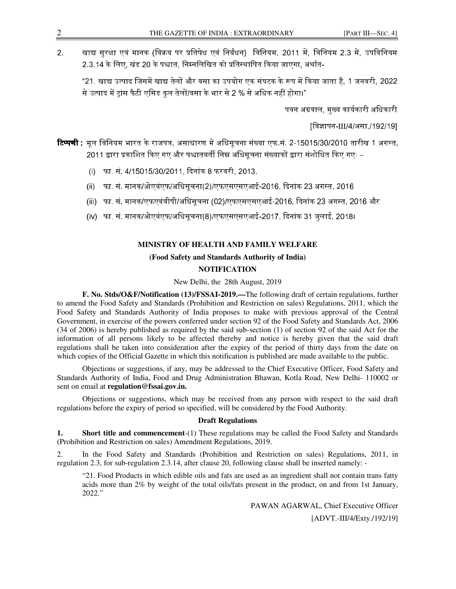2. खाद्य सुरक्षा एवं मानक (विक्रय पर प्रतिषेध एवं निर्बंधन) विनियम, 2011 में, विनियम 2.3 में, उपविनियम 2.3.14 के लिए, खंड 20 के पश्चात, निम्नलिखित को प्रतिस्थापित किया जाएगा, अर्थात-

"21. खाद्य उत्पाद जिसमें खाद्य तेलों और वसा का उपयोग एक संघटक के रूप में किया जाता हैं, 1 जनवरी, 2022 से उत्पाद में ट्रांस फैटी एसिड कुल तेलों/वसा के भार से 2 % से अधिक नहीं होगा।"

पवन अग्रवाल, मख्य कार्यकारी अधिकारी

[विज्ञापन-III/4/असा./192/19]

- **टिप्पणी** : मल विनियम भारत के राजपत्र, असाधारण में अधिसचना संख्या एफ.सं. 2-15015/30/2010 तारीख 1 अगस्त. 2011 द्वारा प्रकाशित किए गए और पश्चातवर्ती निम्न अधिसूचना संख्याकों द्वारा संशोधित किए गएः –
	- (i) फा. सं. 4/15015/30/2011, दिनांक 8 फरवरी, 2013.
	- (ii) फा. सं. मानक/ओएवंएफ/अधिसचना(2)/एफएसएसएआई-2016, दिनांक 23 अगस्त, 2016
	- (iii) फा. सं. मानक/एफएवंवीपी/अधिसचना (02)/एफएसएसएआई-2016. दिनांक 23 अगस्त. 2016 और
	- (iv) फा. सं. मानक/ओएवंएफ/अधिसूचना(8)/एफएसएसएआई-2017, दिनांक 31 जुलाई, 2018।

### **MINISTRY OF HEALTH AND FAMILY WELFARE**

#### **(Food Safety and Standards Authority of India)**

### **NOTIFICATION**

New Delhi, the 28th August, 2019

**F. No. Stds/O&F/Notification (13)/FSSAI-2019.—**The following draft of certain regulations, further to amend the Food Safety and Standards (Prohibition and Restriction on sales) Regulations, 2011, which the Food Safety and Standards Authority of India proposes to make with previous approval of the Central Government, in exercise of the powers conferred under section 92 of the Food Safety and Standards Act, 2006 (34 of 2006) is hereby published as required by the said sub-section (1) of section 92 of the said Act for the information of all persons likely to be affected thereby and notice is hereby given that the said draft regulations shall be taken into consideration after the expiry of the period of thirty days from the date on which copies of the Official Gazette in which this notification is published are made available to the public.

Objections or suggestions, if any, may be addressed to the Chief Executive Officer, Food Safety and Standards Authority of India, Food and Drug Administration Bhawan, Kotla Road, New Delhi- 110002 or sent on email at **regulation@fssai.gov.in.**

Objections or suggestions, which may be received from any person with respect to the said draft regulations before the expiry of period so specified, will be considered by the Food Authority.

#### **Draft Regulations**

**1.** Short title and commencement-(1) These regulations may be called the Food Safety and Standards (Prohibition and Restriction on sales) Amendment Regulations, 2019.

2. In the Food Safety and Standards (Prohibition and Restriction on sales) Regulations, 2011, in regulation 2.3, for sub-regulation 2.3.14, after clause 20, following clause shall be inserted namely: -

"21. Food Products in which edible oils and fats are used as an ingredient shall not contain trans fatty acids more than 2% by weight of the total oils/fats present in the product, on and from 1st January, 2022."

> PAWAN AGARWAL, Chief Executive Officer [ADVT.-III/4/Exty./192/19]